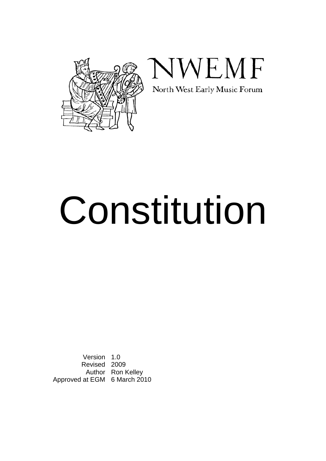



# Constitution

Version 1.0 Revised 2009 Author Ron Kelley Approved at EGM 6 March 2010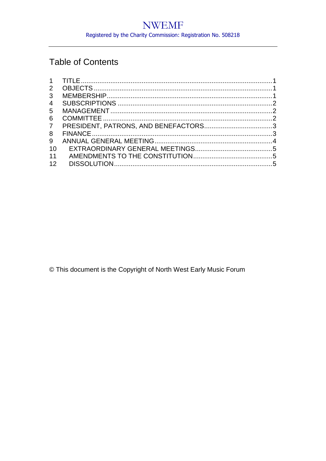# **Table of Contents**

| $\mathbf{2}$   |  |
|----------------|--|
| 3              |  |
| $\overline{4}$ |  |
| $5^{\circ}$    |  |
| 6              |  |
| $\overline{7}$ |  |
| 8              |  |
| 9              |  |
| 10             |  |
| 11             |  |
| 12             |  |
|                |  |

© This document is the Copyright of North West Early Music Forum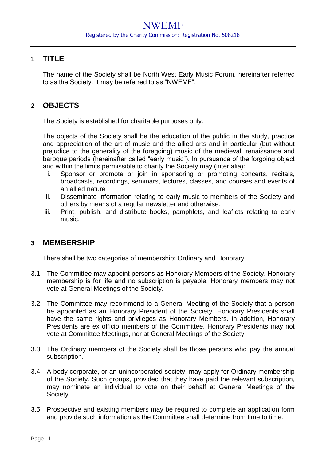### <span id="page-2-0"></span>**1 TITLE**

The name of the Society shall be North West Early Music Forum, hereinafter referred to as the Society. It may be referred to as "NWEMF".

## <span id="page-2-1"></span>**2 OBJECTS**

The Society is established for charitable purposes only.

The objects of the Society shall be the education of the public in the study, practice and appreciation of the art of music and the allied arts and in particular (but without prejudice to the generality of the foregoing) music of the medieval, renaissance and baroque periods (hereinafter called "early music"). In pursuance of the forgoing object and within the limits permissible to charity the Society may (inter alia):

- i. Sponsor or promote or join in sponsoring or promoting concerts, recitals, broadcasts, recordings, seminars, lectures, classes, and courses and events of an allied nature
- ii. Disseminate information relating to early music to members of the Society and others by means of a regular newsletter and otherwise.
- iii. Print, publish, and distribute books, pamphlets, and leaflets relating to early music.

#### <span id="page-2-2"></span>**3 MEMBERSHIP**

There shall be two categories of membership: Ordinary and Honorary.

- 3.1 The Committee may appoint persons as Honorary Members of the Society. Honorary membership is for life and no subscription is payable. Honorary members may not vote at General Meetings of the Society.
- 3.2 The Committee may recommend to a General Meeting of the Society that a person be appointed as an Honorary President of the Society. Honorary Presidents shall have the same rights and privileges as Honorary Members. In addition, Honorary Presidents are ex officio members of the Committee. Honorary Presidents may not vote at Committee Meetings, nor at General Meetings of the Society.
- 3.3 The Ordinary members of the Society shall be those persons who pay the annual subscription.
- 3.4 A body corporate, or an unincorporated society, may apply for Ordinary membership of the Society. Such groups, provided that they have paid the relevant subscription, may nominate an individual to vote on their behalf at General Meetings of the Society.
- 3.5 Prospective and existing members may be required to complete an application form and provide such information as the Committee shall determine from time to time.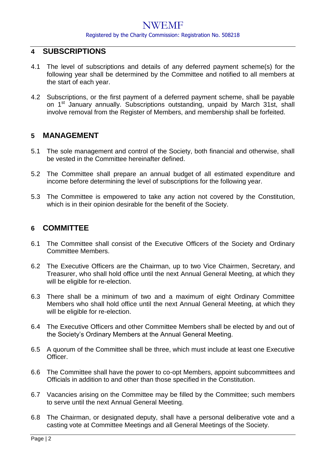## NWEMF

#### Registered by the Charity Commission: Registration No. 508218

#### <span id="page-3-0"></span>**4 SUBSCRIPTIONS**

- 4.1 The level of subscriptions and details of any deferred payment scheme(s) for the following year shall be determined by the Committee and notified to all members at the start of each year.
- 4.2 Subscriptions, or the first payment of a deferred payment scheme, shall be payable on 1<sup>st</sup> January annually. Subscriptions outstanding, unpaid by March 31st, shall involve removal from the Register of Members, and membership shall be forfeited.

#### <span id="page-3-1"></span>**5 MANAGEMENT**

- 5.1 The sole management and control of the Society, both financial and otherwise, shall be vested in the Committee hereinafter defined.
- 5.2 The Committee shall prepare an annual budget of all estimated expenditure and income before determining the level of subscriptions for the following year.
- 5.3 The Committee is empowered to take any action not covered by the Constitution, which is in their opinion desirable for the benefit of the Society.

#### <span id="page-3-2"></span>**6 COMMITTEE**

- 6.1 The Committee shall consist of the Executive Officers of the Society and Ordinary Committee Members.
- 6.2 The Executive Officers are the Chairman, up to two Vice Chairmen, Secretary, and Treasurer, who shall hold office until the next Annual General Meeting, at which they will be eligible for re-election.
- 6.3 There shall be a minimum of two and a maximum of eight Ordinary Committee Members who shall hold office until the next Annual General Meeting, at which they will be eligible for re-election.
- 6.4 The Executive Officers and other Committee Members shall be elected by and out of the Society's Ordinary Members at the Annual General Meeting.
- 6.5 A quorum of the Committee shall be three, which must include at least one Executive Officer.
- 6.6 The Committee shall have the power to co-opt Members, appoint subcommittees and Officials in addition to and other than those specified in the Constitution.
- 6.7 Vacancies arising on the Committee may be filled by the Committee; such members to serve until the next Annual General Meeting.
- 6.8 The Chairman, or designated deputy, shall have a personal deliberative vote and a casting vote at Committee Meetings and all General Meetings of the Society.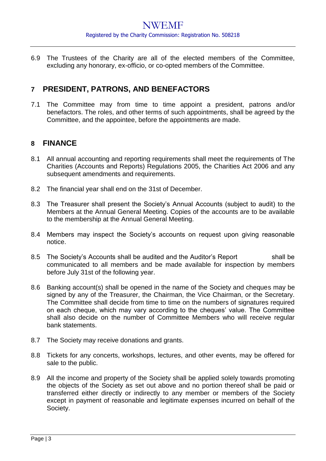6.9 The Trustees of the Charity are all of the elected members of the Committee, excluding any honorary, ex-officio, or co-opted members of the Committee.

## <span id="page-4-0"></span>**7 PRESIDENT, PATRONS, AND BENEFACTORS**

7.1 The Committee may from time to time appoint a president, patrons and/or benefactors. The roles, and other terms of such appointments, shall be agreed by the Committee, and the appointee, before the appointments are made.

#### <span id="page-4-1"></span>**8 FINANCE**

- 8.1 All annual accounting and reporting requirements shall meet the requirements of The Charities (Accounts and Reports) Regulations 2005, the Charities Act 2006 and any subsequent amendments and requirements.
- 8.2 The financial year shall end on the 31st of December.
- 8.3 The Treasurer shall present the Society's Annual Accounts (subject to audit) to the Members at the Annual General Meeting. Copies of the accounts are to be available to the membership at the Annual General Meeting.
- 8.4 Members may inspect the Society's accounts on request upon giving reasonable notice.
- 8.5 The Society's Accounts shall be audited and the Auditor's Report shall be communicated to all members and be made available for inspection by members before July 31st of the following year.
- 8.6 Banking account(s) shall be opened in the name of the Society and cheques may be signed by any of the Treasurer, the Chairman, the Vice Chairman, or the Secretary. The Committee shall decide from time to time on the numbers of signatures required on each cheque, which may vary according to the cheques' value. The Committee shall also decide on the number of Committee Members who will receive regular bank statements.
- 8.7 The Society may receive donations and grants.
- 8.8 Tickets for any concerts, workshops, lectures, and other events, may be offered for sale to the public.
- 8.9 All the income and property of the Society shall be applied solely towards promoting the objects of the Society as set out above and no portion thereof shall be paid or transferred either directly or indirectly to any member or members of the Society except in payment of reasonable and legitimate expenses incurred on behalf of the Society.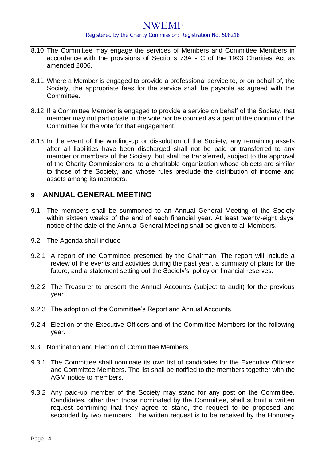# NWEMF

#### Registered by the Charity Commission: Registration No. 508218

- 8.10 The Committee may engage the services of Members and Committee Members in accordance with the provisions of Sections 73A - C of the 1993 Charities Act as amended 2006.
- 8.11 Where a Member is engaged to provide a professional service to, or on behalf of, the Society, the appropriate fees for the service shall be payable as agreed with the Committee.
- 8.12 If a Committee Member is engaged to provide a service on behalf of the Society, that member may not participate in the vote nor be counted as a part of the quorum of the Committee for the vote for that engagement.
- 8.13 In the event of the winding-up or dissolution of the Society, any remaining assets after all liabilities have been discharged shall not be paid or transferred to any member or members of the Society, but shall be transferred, subject to the approval of the Charity Commissioners, to a charitable organization whose objects are similar to those of the Society, and whose rules preclude the distribution of income and assets among its members.

#### <span id="page-5-0"></span>**9 ANNUAL GENERAL MEETING**

- 9.1 The members shall be summoned to an Annual General Meeting of the Society within sixteen weeks of the end of each financial year. At least twenty-eight days' notice of the date of the Annual General Meeting shall be given to all Members.
- 9.2 The Agenda shall include
- 9.2.1 A report of the Committee presented by the Chairman. The report will include a review of the events and activities during the past year, a summary of plans for the future, and a statement setting out the Society's' policy on financial reserves.
- 9.2.2 The Treasurer to present the Annual Accounts (subject to audit) for the previous year
- 9.2.3 The adoption of the Committee's Report and Annual Accounts.
- 9.2.4 Election of the Executive Officers and of the Committee Members for the following year.
- 9.3 Nomination and Flection of Committee Members
- 9.3.1 The Committee shall nominate its own list of candidates for the Executive Officers and Committee Members. The list shall be notified to the members together with the AGM notice to members.
- 9.3.2 Any paid-up member of the Society may stand for any post on the Committee. Candidates, other than those nominated by the Committee, shall submit a written request confirming that they agree to stand, the request to be proposed and seconded by two members. The written request is to be received by the Honorary